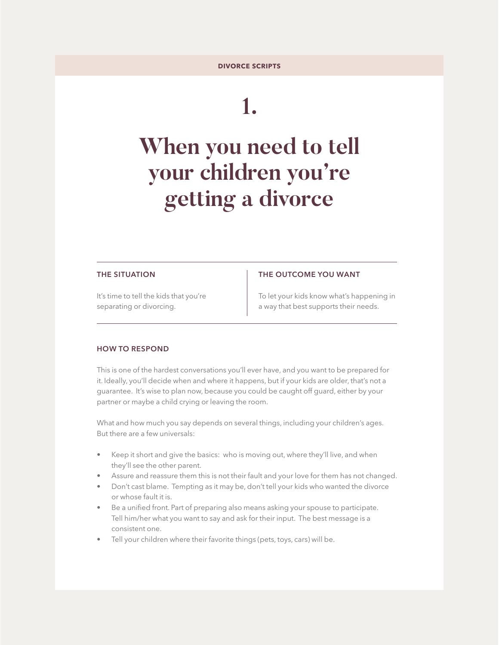# **1.**

# **When you need to tell your children you're getting a divorce**

#### **THE SITUATION**

## **THE OUTCOME YOU WANT**

It's time to tell the kids that you're separating or divorcing.

To let your kids know what's happening in a way that best supports their needs.

### **HOW TO RESPOND**

This is one of the hardest conversations you'll ever have, and you want to be prepared for it. Ideally, you'll decide when and where it happens, but if your kids are older, that's not a guarantee. It's wise to plan now, because you could be caught off guard, either by your partner or maybe a child crying or leaving the room.

What and how much you say depends on several things, including your children's ages. But there are a few universals:

- Keep it short and give the basics: who is moving out, where they'll live, and when they'll see the other parent.
- Assure and reassure them this is not their fault and your love for them has not changed.
- Don't cast blame. Tempting as it may be, don't tell your kids who wanted the divorce or whose fault it is.
- Be a unified front. Part of preparing also means asking your spouse to participate. Tell him/her what you want to say and ask for their input. The best message is a consistent one.
- Tell your children where their favorite things (pets, toys, cars) will be.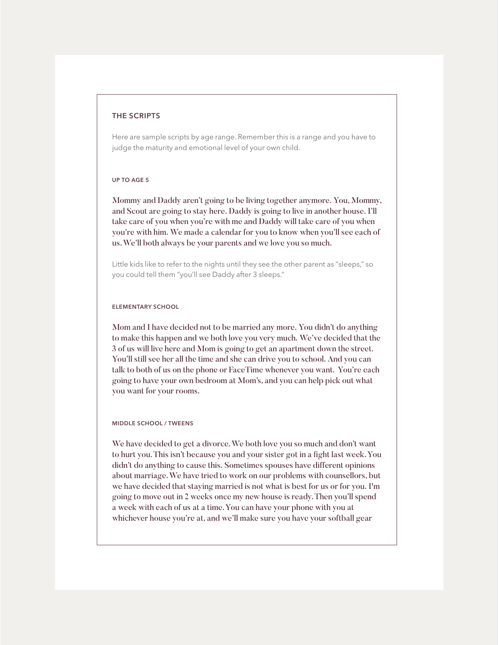#### **THE SCRIPTS**

Here are sample scripts by age range. Remember this is a range and you have to judge the maturity and emotional level of your own child.

### **UP TO AGE 5**

Mommy and Daddy aren't going to be living together anymore. You, Mommy, and Scout are going to stay here. Daddy is going to live in another house. I'll take care of you when you're with me and Daddy will take care of you when you're with him. We made a calendar for you to know when you'll see each of us. We'll both always be your parents and we love you so much.

Little kids like to refer to the nights until they see the other parent as "sleeps," so you could tell them "you'll see Daddy after 3 sleeps."

#### **ELEMENTARY SCHOOL**

Mom and I have decided not to be married any more. You didn't do anything to make this happen and we both love you very much. We've decided that the 3 of us will live here and Mom is going to get an apartment down the street. You'll still see her all the time and she can drive you to school. And you can talk to both of us on the phone or FaceTime whenever you want. You're each going to have your own bedroom at Mom's, and you can help pick out what you want for your rooms.

#### **MIDDLE SCHOOL / TWEENS**

We have decided to get a divorce. We both love you so much and don't want to hurt you. This isn't because you and your sister got in a fight last week. You didn't do anything to cause this. Sometimes spouses have different opinions about marriage. We have tried to work on our problems with counsellors, but we have decided that staying married is not what is best for us or for you. I'm going to move out in 2 weeks once my new house is ready. Then you'll spend a week with each of us at a time. You can have your phone with you at whichever house you're at, and we'll make sure you have your softball gear